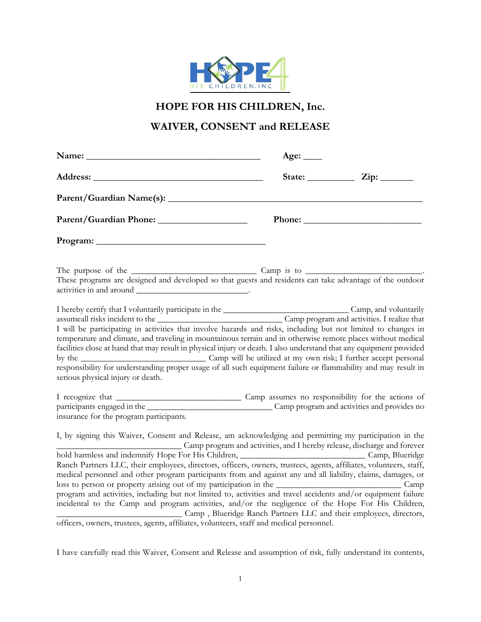

**HOPE FOR HIS CHILDREN, Inc.**

# **WAIVER, CONSENT and RELEASE**

|                                                                                                                                                                                                                                                                                                                                                                                                                                                                                                                                                                                                                                                                                                                                       | Age: $\_\_$ |  |
|---------------------------------------------------------------------------------------------------------------------------------------------------------------------------------------------------------------------------------------------------------------------------------------------------------------------------------------------------------------------------------------------------------------------------------------------------------------------------------------------------------------------------------------------------------------------------------------------------------------------------------------------------------------------------------------------------------------------------------------|-------------|--|
|                                                                                                                                                                                                                                                                                                                                                                                                                                                                                                                                                                                                                                                                                                                                       |             |  |
|                                                                                                                                                                                                                                                                                                                                                                                                                                                                                                                                                                                                                                                                                                                                       |             |  |
| Parent/Guardian Phone:                                                                                                                                                                                                                                                                                                                                                                                                                                                                                                                                                                                                                                                                                                                |             |  |
|                                                                                                                                                                                                                                                                                                                                                                                                                                                                                                                                                                                                                                                                                                                                       |             |  |
| These programs are designed and developed so that guests and residents can take advantage of the outdoor                                                                                                                                                                                                                                                                                                                                                                                                                                                                                                                                                                                                                              |             |  |
| I hereby certify that I voluntarily participate in the Camp program and activities. I realize that assume all risks incident to the Camp program and activities. I realize that<br>I will be participating in activities that involve hazards and risks, including but not limited to changes in<br>temperature and climate, and traveling in mountainous terrain and in otherwise remote places without medical<br>facilities close at hand that may result in physical injury or death. I also understand that any equipment provided<br>responsibility for understanding proper usage of all such equipment failure or flammability and may result in<br>serious physical injury or death.                                         |             |  |
| insurance for the program participants.                                                                                                                                                                                                                                                                                                                                                                                                                                                                                                                                                                                                                                                                                               |             |  |
| I, by signing this Waiver, Consent and Release, am acknowledging and permitting my participation in the<br>Camp program and activities, and I hereby release, discharge and forever                                                                                                                                                                                                                                                                                                                                                                                                                                                                                                                                                   |             |  |
| hold harmless and indemnify Hope For His Children, __________________________________Camp, Blueridge<br>Ranch Partners LLC, their employees, directors, officers, owners, trustees, agents, affiliates, volunteers, staff,<br>medical personnel and other program participants from and against any and all liability, claims, damages, or<br>program and activities, including but not limited to, activities and travel accidents and/or equipment failure<br>incidental to the Camp and program activities, and/or the negligence of the Hope For His Children,<br>Camp , Blueridge Ranch Partners LLC and their employees, directors,<br>officers, owners, trustees, agents, affiliates, volunteers, staff and medical personnel. |             |  |

I have carefully read this Waiver, Consent and Release and assumption of risk, fully understand its contents,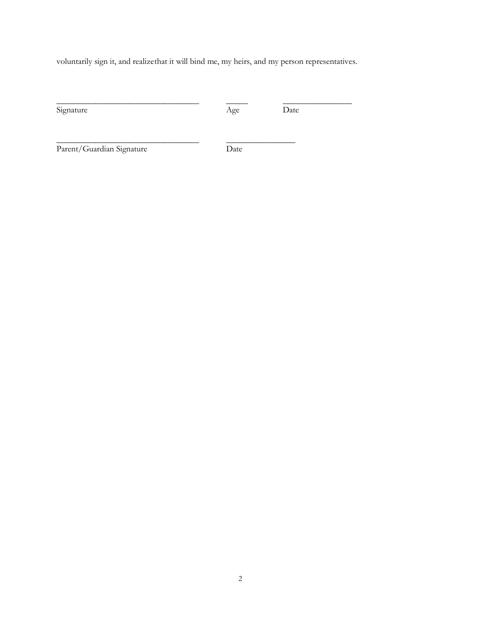voluntarily sign it, and realizethat it will bind me, my heirs, and my person representatives.

\_\_\_\_\_\_\_\_\_\_\_\_\_\_\_\_\_\_\_\_\_\_\_\_\_\_\_\_\_\_\_\_\_ \_\_\_\_\_ \_\_\_\_\_\_\_\_\_\_\_\_\_\_\_\_

\_\_\_\_\_\_\_\_\_\_\_\_\_\_\_\_\_\_\_\_\_\_\_\_\_\_\_\_\_\_\_\_\_ \_\_\_\_\_\_\_\_\_\_\_\_\_\_\_\_

Signature  $\overline{\text{Age}}$  Date

Parent/Guardian Signature Date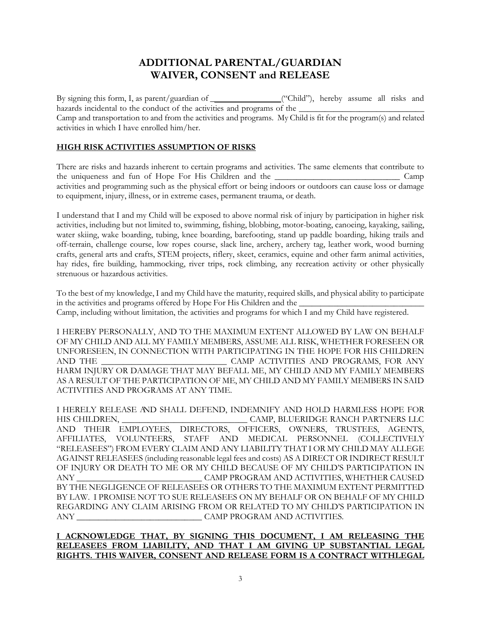# **ADDITIONAL PARENTAL/GUARDIAN WAIVER, CONSENT and RELEASE**

By signing this form, I, as parent/guardian of \_ ("Child"), hereby assume all risks and hazards incidental to the conduct of the activities and programs of the \_ Camp and transportation to and from the activities and programs. My Child is fit for the program(s) and related activities in which I have enrolled him/her.

### **HIGH RISK ACTIVITIES ASSUMPTION OF RISKS**

There are risks and hazards inherent to certain programs and activities. The same elements that contribute to the uniqueness and fun of Hope For His Children and the **Camp** activities and programming such as the physical effort or being indoors or outdoors can cause loss or damage to equipment, injury, illness, or in extreme cases, permanent trauma, or death.

I understand that I and my Child will be exposed to above normal risk of injury by participation in higher risk activities, including but not limited to, swimming, fishing, blobbing, motor-boating, canoeing, kayaking, sailing, water skiing, wake boarding, tubing, knee boarding, barefooting, stand up paddle boarding, hiking trails and off-terrain, challenge course, low ropes course, slack line, archery, archery tag, leather work, wood burning crafts, general arts and crafts, STEM projects, riflery, skeet, ceramics, equine and other farm animal activities, hay rides, fire building, hammocking, river trips, rock climbing, any recreation activity or other physically strenuous or hazardous activities.

To the best of my knowledge, I and my Child have the maturity, required skills, and physical ability to participate in the activities and programs offered by Hope For His Children and the Camp, including without limitation, the activities and programs for which I and my Child have registered.

I HEREBY PERSONALLY, AND TO THE MAXIMUM EXTENT ALLOWED BY LAW ON BEHALF OF MY CHILD AND ALL MY FAMILY MEMBERS, ASSUME ALL RISK, WHETHER FORESEEN OR UNFORESEEN, IN CONNECTION WITH PARTICIPATING IN THE HOPE FOR HIS CHILDREN AND THE \_\_\_\_\_\_\_\_\_\_\_\_\_\_\_\_\_\_\_\_\_\_\_\_\_\_\_\_\_ CAMP ACTIVITIES AND PROGRAMS, FOR ANY HARM INJURY OR DAMAGE THAT MAY BEFALL ME, MY CHILD AND MY FAMILY MEMBERS AS A RESULT OF THE PARTICIPATION OF ME, MY CHILD AND MY FAMILY MEMBERS IN SAID ACTIVITIES AND PROGRAMS AT ANY TIME.

I HERELY RELEASE AND SHALL DEFEND, INDEMNIFY AND HOLD HARMLESS HOPE FOR HIS CHILDREN, \_\_\_\_\_\_\_\_\_\_\_\_\_\_\_\_\_\_\_\_\_\_\_\_\_\_\_\_\_ CAMP, BLUERIDGE RANCH PARTNERS LLC AND THEIR EMPLOYEES, DIRECTORS, OFFICERS, OWNERS, TRUSTEES, AGENTS, AFFILIATES, VOLUNTEERS, STAFF AND MEDICAL PERSONNEL (COLLECTIVELY "RELEASEES") FROM EVERY CLAIM AND ANY LIABILITY THAT I OR MY CHILD MAY ALLEGE AGAINST RELEASEES (including reasonable legal fees and costs) AS A DIRECT OR INDIRECT RESULT OF INJURY OR DEATH TO ME OR MY CHILD BECAUSE OF MY CHILD'S PARTICIPATION IN ANY \_\_\_\_\_\_\_\_\_\_\_\_\_\_\_\_\_\_\_\_\_\_\_\_\_\_\_\_\_ CAMP PROGRAM AND ACTIVITIES, WHETHER CAUSED BY THE NEGLIGENCE OF RELEASEES OR OTHERS TO THE MAXIMUM EXTENT PERMITTED BY LAW. I PROMISE NOT TO SUE RELEASEES ON MY BEHALF OR ON BEHALF OF MY CHILD REGARDING ANY CLAIM ARISING FROM OR RELATED TO MY CHILD'S PARTICIPATION IN ANY \_\_\_\_\_\_\_\_\_\_\_\_\_\_\_\_\_\_\_\_\_\_\_\_\_\_\_\_\_ CAMP PROGRAM AND ACTIVITIES.

#### **I ACKNOWLEDGE THAT, BY SIGNING THIS DOCUMENT, I AM RELEASING THE RELEASEES FROM LIABILITY, AND THAT I AM GIVING UP SUBSTANTIAL LEGAL RIGHTS. THIS WAIVER, CONSENT AND RELEASE FORM IS A CONTRACT WITHLEGAL**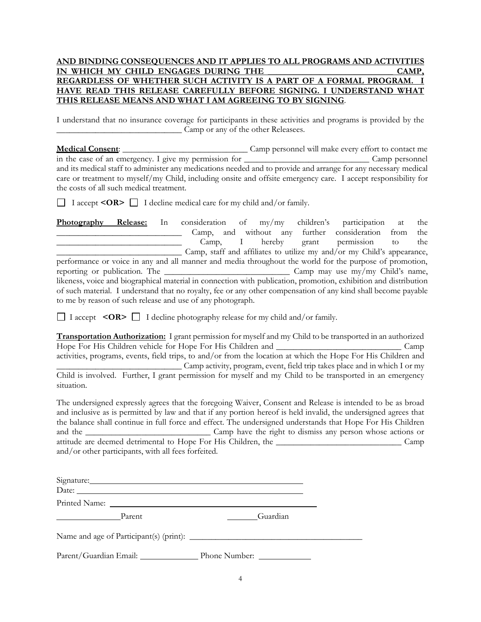#### **AND BINDING CONSEQUENCES AND IT APPLIES TO ALL PROGRAMS AND ACTIVITIES**  IN WHICH MY CHILD ENGAGES DURING THE **REGARDLESS OF WHETHER SUCH ACTIVITY IS A PART OF A FORMAL PROGRAM. I HAVE READ THIS RELEASE CAREFULLY BEFORE SIGNING. I UNDERSTAND WHAT THIS RELEASE MEANS AND WHAT I AM AGREEING TO BY SIGNING**.

I understand that no insurance coverage for participants in these activities and programs is provided by the \_\_\_\_\_\_\_\_\_\_\_\_\_\_\_\_\_\_\_\_\_\_\_\_\_\_\_\_\_ Camp or any of the other Releasees.

| and its medical staff to administer any medications needed and to provide and arrange for any necessary medical<br>care or treatment to myself/my Child, including onsite and offsite emergency care. I accept responsibility for<br>the costs of all such medical treatment.                                                                                                                                                               |                                                                                                                                                                                                                                             |
|---------------------------------------------------------------------------------------------------------------------------------------------------------------------------------------------------------------------------------------------------------------------------------------------------------------------------------------------------------------------------------------------------------------------------------------------|---------------------------------------------------------------------------------------------------------------------------------------------------------------------------------------------------------------------------------------------|
| $\Box$ I accept <or> <math>\Box</math> I decline medical care for my child and/or family.</or>                                                                                                                                                                                                                                                                                                                                              |                                                                                                                                                                                                                                             |
| Photography Release: In<br><u> 1989 - Jan Barbara, manazarta bashkar ta shekara ta 1989 - Andrea San Andrea San Andrea San Andrea San Andrea</u>                                                                                                                                                                                                                                                                                            | consideration of my/my children's participation at<br>the<br>Camp, and without any further consideration from<br>the<br>Camp, I hereby grant permission to<br>the<br>Camp, staff and affiliates to utilize my and/or my Child's appearance, |
| performance or voice in any and all manner and media throughout the world for the purpose of promotion,<br>likeness, voice and biographical material in connection with publication, promotion, exhibition and distribution<br>of such material. I understand that no royalty, fee or any other compensation of any kind shall become payable<br>to me by reason of such release and use of any photograph.                                 |                                                                                                                                                                                                                                             |
| $\Box$ I accept <or> <math>\Box</math> I decline photography release for my child and/or family.</or>                                                                                                                                                                                                                                                                                                                                       |                                                                                                                                                                                                                                             |
| <b>Transportation Authorization:</b> I grant permission for myself and my Child to be transported in an authorized<br>activities, programs, events, field trips, to and/or from the location at which the Hope For His Children and<br>Camp activity, program, event, field trip takes place and in which I or my<br>Child is involved. Further, I grant permission for myself and my Child to be transported in an emergency<br>situation. |                                                                                                                                                                                                                                             |
| The undersigned expressly agrees that the foregoing Waiver, Consent and Release is intended to be as broad<br>and inclusive as is permitted by law and that if any portion hereof is held invalid, the undersigned agrees that<br>the balance shall continue in full force and effect. The undersigned understands that Hope For His Children<br>and/or other participants, with all fees forfeited.                                        |                                                                                                                                                                                                                                             |
| Signature: Signature:<br>Date:                                                                                                                                                                                                                                                                                                                                                                                                              |                                                                                                                                                                                                                                             |
|                                                                                                                                                                                                                                                                                                                                                                                                                                             |                                                                                                                                                                                                                                             |
| Parent                                                                                                                                                                                                                                                                                                                                                                                                                                      | Guardian                                                                                                                                                                                                                                    |

Name and age of Participant(s) (print): \_\_\_\_\_\_\_\_\_\_\_\_\_\_\_\_\_\_\_\_\_\_\_\_\_\_\_\_\_\_\_\_\_\_\_\_\_\_\_\_

Parent/Guardian Email: Phone Number: 2008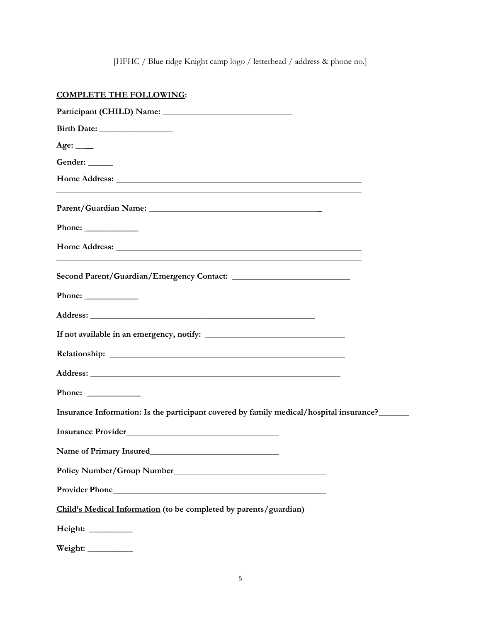[HFHC / Blue ridge Knight camp logo / letterhead / address & phone no.]

## **COMPLETE THE FOLLOWING:**

| Age: $\_\_$                                                                                                                                                                                                                                                                                  |
|----------------------------------------------------------------------------------------------------------------------------------------------------------------------------------------------------------------------------------------------------------------------------------------------|
| Gender: ______                                                                                                                                                                                                                                                                               |
| Home Address: Lawrence and the state of the state of the state of the state of the state of the state of the state of the state of the state of the state of the state of the state of the state of the state of the state of<br><u> 1989 - Johann Stoff, amerikansk politiker (d. 1989)</u> |
|                                                                                                                                                                                                                                                                                              |
|                                                                                                                                                                                                                                                                                              |
|                                                                                                                                                                                                                                                                                              |
|                                                                                                                                                                                                                                                                                              |
|                                                                                                                                                                                                                                                                                              |
| Address: No. 2016. The Contract of the Contract of the Contract of the Contract of the Contract of the Contract of the Contract of the Contract of the Contract of the Contract of the Contract of the Contract of the Contrac                                                               |
|                                                                                                                                                                                                                                                                                              |
|                                                                                                                                                                                                                                                                                              |
|                                                                                                                                                                                                                                                                                              |
|                                                                                                                                                                                                                                                                                              |
| Insurance Information: Is the participant covered by family medical/hospital insurance?_____                                                                                                                                                                                                 |
| Insurance Provider San American Services and Services and Services and Services and Services and Services and Services and Services and Services and Services and Services and Services and Services and Services and Services                                                               |
|                                                                                                                                                                                                                                                                                              |
|                                                                                                                                                                                                                                                                                              |
|                                                                                                                                                                                                                                                                                              |
| Child's Medical Information (to be completed by parents/guardian)                                                                                                                                                                                                                            |
| Height: __________                                                                                                                                                                                                                                                                           |
| Weight:                                                                                                                                                                                                                                                                                      |